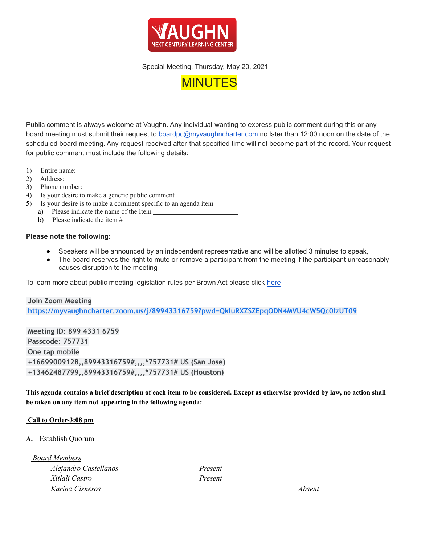

Special Meeting, Thursday, May 20, 2021



Public comment is always welcome at Vaughn. Any individual wanting to express public comment during this or any board meeting must submit their request to [boardpc@myvaughncharter.com](mailto:boardpc@myvaughncharter.com) no later than 12:00 noon on the date of the scheduled board meeting. Any request received after that specified time will not become part of the record. Your request for public comment must include the following details:

- 1) Entire name:
- 2) Address:
- 3) Phone number:
- 4) Is your desire to make a generic public comment
- 5) Is your desire is to make a comment specific to an agenda item
	- a) Please indicate the name of the Item
	- b) Please indicate the item #

## **Please note the following:**

- Speakers will be announced by an independent representative and will be allotted 3 minutes to speak,
- The board reserves the right to mute or remove a participant from the meeting if the participant unreasonably causes disruption to the meeting

To learn more about public meeting legislation rules per Brown Act please click [here](https://leginfo.legislature.ca.gov/faces/billTextClient.xhtml?bill_id=201520160AB1787)

**Join Zoom Meeting <https://myvaughncharter.zoom.us/j/89943316759?pwd=QkluRXZSZEpqODN4MVU4cW5Qc0IzUT09>**

**Meeting ID: 899 4331 6759 Passcode: 757731 One tap mobile +16699009128,,89943316759#,,,,\*757731# US (San Jose) +13462487799,,89943316759#,,,,\*757731# US (Houston)**

This agenda contains a brief description of each item to be considered. Except as otherwise provided by law, no action shall **be taken on any item not appearing in the following agenda:**

## **Call to Order-3:08 pm**

## **A.** Establish Quorum

*Board Members*

*Alejandro Castellanos Present Xitlali Castro Present Karina Cisneros Absent*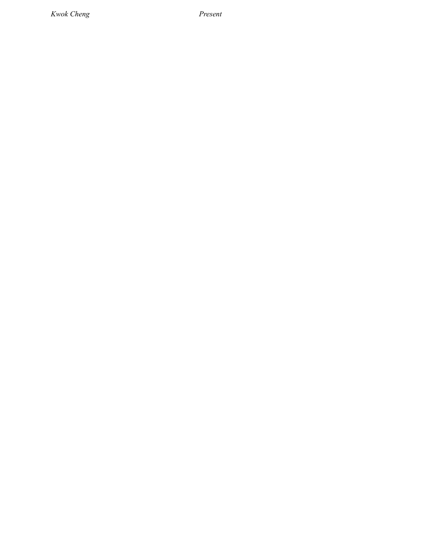*Kwok Cheng Present*